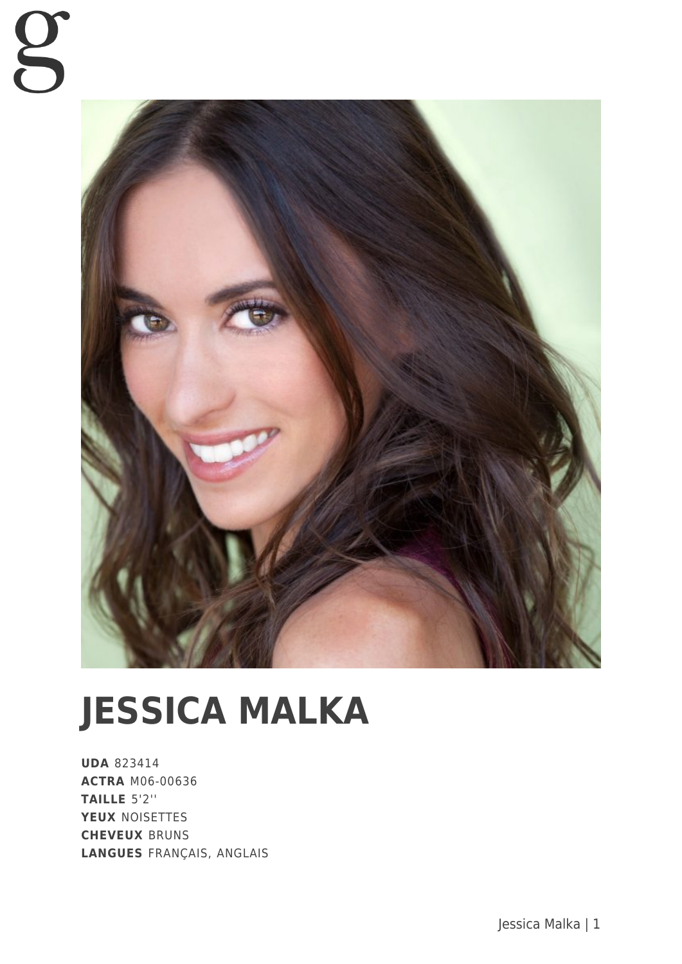

# **JESSICA MALKA**

**UDA** 823414 **ACTRA** M06-00636 **TAILLE** 5'2'' **YEUX** NOISETTES **CHEVEUX** BRUNS **LANGUES** FRANÇAIS, ANGLAIS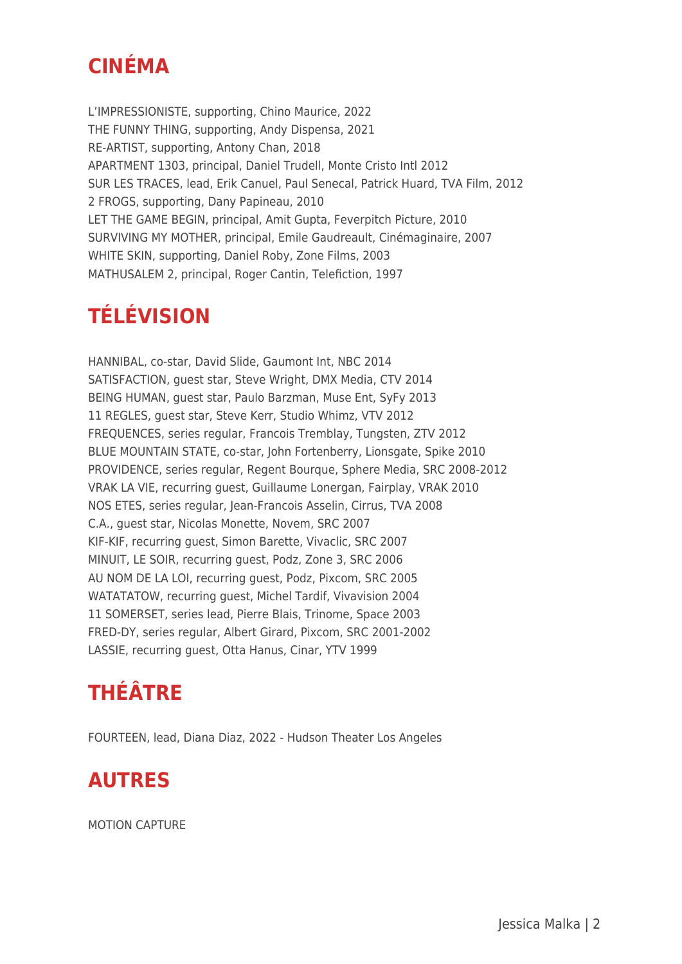## **CINÉMA**

L'IMPRESSIONISTE, supporting, Chino Maurice, 2022 THE FUNNY THING, supporting, Andy Dispensa, 2021 RE-ARTIST, supporting, Antony Chan, 2018 APARTMENT 1303, principal, Daniel Trudell, Monte Cristo Intl 2012 SUR LES TRACES, lead, Erik Canuel, Paul Senecal, Patrick Huard, TVA Film, 2012 2 FROGS, supporting, Dany Papineau, 2010 LET THE GAME BEGIN, principal, Amit Gupta, Feverpitch Picture, 2010 SURVIVING MY MOTHER, principal, Emile Gaudreault, Cinémaginaire, 2007 WHITE SKIN, supporting, Daniel Roby, Zone Films, 2003 MATHUSALEM 2, principal, Roger Cantin, Telefiction, 1997

### **TÉLÉVISION**

HANNIBAL, co-star, David Slide, Gaumont Int, NBC 2014 SATISFACTION, guest star, Steve Wright, DMX Media, CTV 2014 BEING HUMAN, guest star, Paulo Barzman, Muse Ent, SyFy 2013 11 REGLES, guest star, Steve Kerr, Studio Whimz, VTV 2012 FREQUENCES, series regular, Francois Tremblay, Tungsten, ZTV 2012 BLUE MOUNTAIN STATE, co-star, John Fortenberry, Lionsgate, Spike 2010 PROVIDENCE, series regular, Regent Bourque, Sphere Media, SRC 2008-2012 VRAK LA VIE, recurring guest, Guillaume Lonergan, Fairplay, VRAK 2010 NOS ETES, series regular, Jean-Francois Asselin, Cirrus, TVA 2008 C.A., guest star, Nicolas Monette, Novem, SRC 2007 KIF-KIF, recurring guest, Simon Barette, Vivaclic, SRC 2007 MINUIT, LE SOIR, recurring guest, Podz, Zone 3, SRC 2006 AU NOM DE LA LOI, recurring guest, Podz, Pixcom, SRC 2005 WATATATOW, recurring guest, Michel Tardif, Vivavision 2004 11 SOMERSET, series lead, Pierre Blais, Trinome, Space 2003 FRED-DY, series regular, Albert Girard, Pixcom, SRC 2001-2002 LASSIE, recurring guest, Otta Hanus, Cinar, YTV 1999

#### **THÉÂTRE**

FOURTEEN, lead, Diana Diaz, 2022 - Hudson Theater Los Angeles

#### **AUTRES**

MOTION CAPTURE